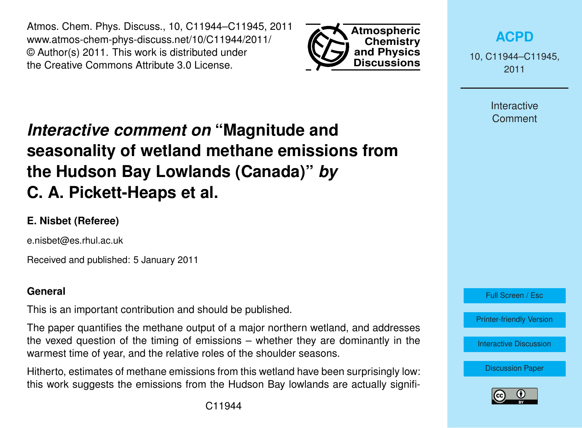Atmos. Chem. Phys. Discuss., 10, C11944–C11945, 2011 www.atmos-chem-phys-discuss.net/10/C11944/2011/ © Author(s) 2011. This work is distributed under the Creative Commons Attribute 3.0 License.



**[ACPD](http://www.atmos-chem-phys-discuss.net)**

10, C11944–C11945, 2011

> Interactive Comment

# *Interactive comment on* **"Magnitude and seasonality of wetland methane emissions from the Hudson Bay Lowlands (Canada)"** *by* **C. A. Pickett-Heaps et al.**

# **E. Nisbet (Referee)**

e.nisbet@es.rhul.ac.uk

Received and published: 5 January 2011

#### **General**

This is an important contribution and should be published.

The paper quantifies the methane output of a major northern wetland, and addresses the vexed question of the timing of emissions – whether they are dominantly in the warmest time of year, and the relative roles of the shoulder seasons.

Hitherto, estimates of methane emissions from this wetland have been surprisingly low: this work suggests the emissions from the Hudson Bay lowlands are actually signifi-



[Printer-friendly Version](http://www.atmos-chem-phys-discuss.net/10/C11944/2011/acpd-10-C11944-2011-print.pdf)

[Interactive Discussion](http://www.atmos-chem-phys-discuss.net/10/22415/2010/acpd-10-22415-2010-discussion.html)

[Discussion Paper](http://www.atmos-chem-phys-discuss.net/10/22415/2010/acpd-10-22415-2010.pdf)